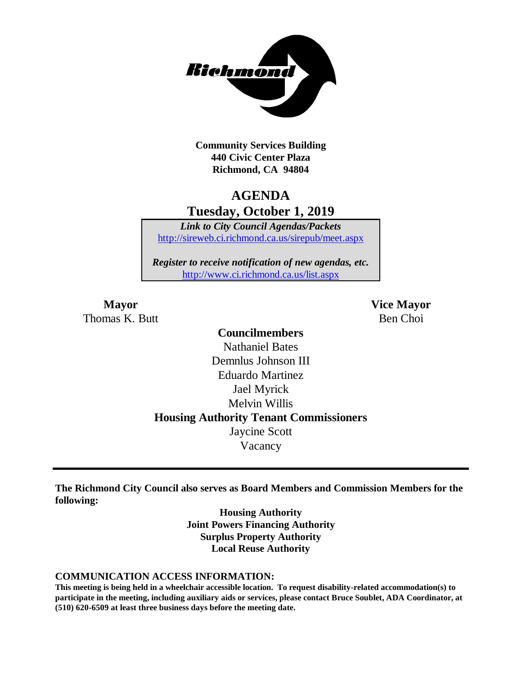

**Community Services Building 440 Civic Center Plaza Richmond, CA 94804**

# **AGENDA Tuesday, October 1, 2019**

*Link to City Council Agendas/Packets* <http://sireweb.ci.richmond.ca.us/sirepub/meet.aspx>

*Register to receive notification of new agendas, etc.* <http://www.ci.richmond.ca.us/list.aspx>

Thomas K. Butt Ben Choi

**Mayor Vice Mayor**

# **Councilmembers** Nathaniel Bates Demnlus Johnson III Eduardo Martinez Jael Myrick Melvin Willis **Housing Authority Tenant Commissioners** Jaycine Scott Vacancy

**The Richmond City Council also serves as Board Members and Commission Members for the following:**

> **Housing Authority Joint Powers Financing Authority Surplus Property Authority Local Reuse Authority**

#### **COMMUNICATION ACCESS INFORMATION:**

**This meeting is being held in a wheelchair accessible location. To request disability-related accommodation(s) to participate in the meeting, including auxiliary aids or services, please contact Bruce Soublet, ADA Coordinator, at (510) 620-6509 at least three business days before the meeting date.**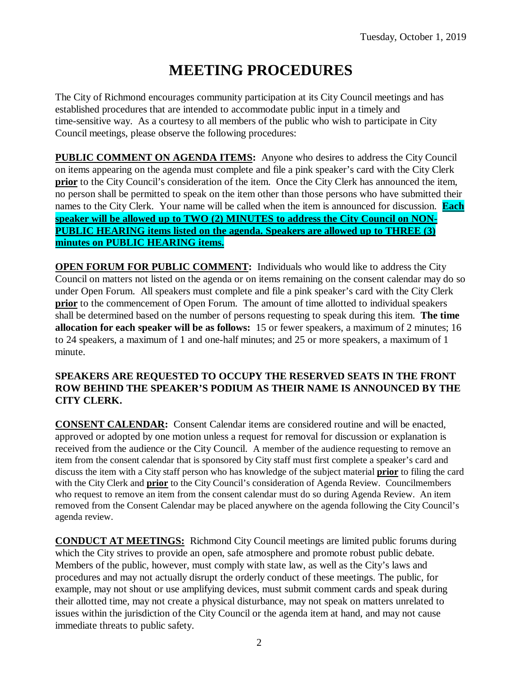# **MEETING PROCEDURES**

The City of Richmond encourages community participation at its City Council meetings and has established procedures that are intended to accommodate public input in a timely and time-sensitive way. As a courtesy to all members of the public who wish to participate in City Council meetings, please observe the following procedures:

**PUBLIC COMMENT ON AGENDA ITEMS:** Anyone who desires to address the City Council on items appearing on the agenda must complete and file a pink speaker's card with the City Clerk **prior** to the City Council's consideration of the item. Once the City Clerk has announced the item, no person shall be permitted to speak on the item other than those persons who have submitted their names to the City Clerk. Your name will be called when the item is announced for discussion. **Each speaker will be allowed up to TWO (2) MINUTES to address the City Council on NON-PUBLIC HEARING items listed on the agenda. Speakers are allowed up to THREE (3) minutes on PUBLIC HEARING items.**

**OPEN FORUM FOR PUBLIC COMMENT:** Individuals who would like to address the City Council on matters not listed on the agenda or on items remaining on the consent calendar may do so under Open Forum. All speakers must complete and file a pink speaker's card with the City Clerk **prior** to the commencement of Open Forum. The amount of time allotted to individual speakers shall be determined based on the number of persons requesting to speak during this item. **The time allocation for each speaker will be as follows:** 15 or fewer speakers, a maximum of 2 minutes; 16 to 24 speakers, a maximum of 1 and one-half minutes; and 25 or more speakers, a maximum of 1 minute.

### **SPEAKERS ARE REQUESTED TO OCCUPY THE RESERVED SEATS IN THE FRONT ROW BEHIND THE SPEAKER'S PODIUM AS THEIR NAME IS ANNOUNCED BY THE CITY CLERK.**

**CONSENT CALENDAR:** Consent Calendar items are considered routine and will be enacted, approved or adopted by one motion unless a request for removal for discussion or explanation is received from the audience or the City Council. A member of the audience requesting to remove an item from the consent calendar that is sponsored by City staff must first complete a speaker's card and discuss the item with a City staff person who has knowledge of the subject material **prior** to filing the card with the City Clerk and **prior** to the City Council's consideration of Agenda Review. Councilmembers who request to remove an item from the consent calendar must do so during Agenda Review. An item removed from the Consent Calendar may be placed anywhere on the agenda following the City Council's agenda review.

**CONDUCT AT MEETINGS:** Richmond City Council meetings are limited public forums during which the City strives to provide an open, safe atmosphere and promote robust public debate. Members of the public, however, must comply with state law, as well as the City's laws and procedures and may not actually disrupt the orderly conduct of these meetings. The public, for example, may not shout or use amplifying devices, must submit comment cards and speak during their allotted time, may not create a physical disturbance, may not speak on matters unrelated to issues within the jurisdiction of the City Council or the agenda item at hand, and may not cause immediate threats to public safety.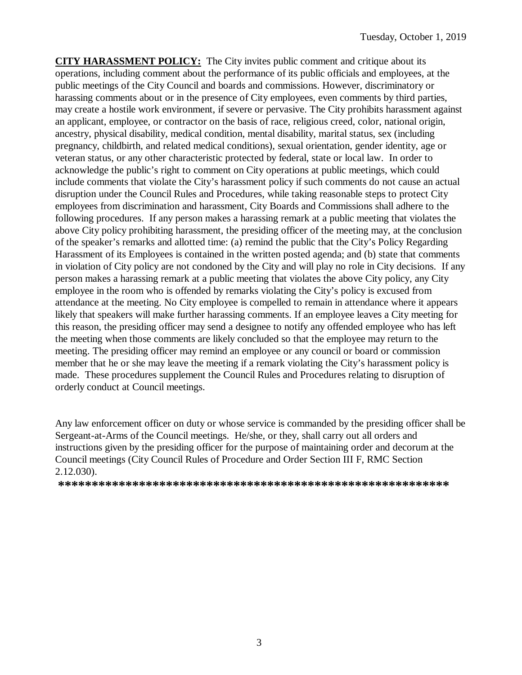**CITY HARASSMENT POLICY:** The City invites public comment and critique about its operations, including comment about the performance of its public officials and employees, at the public meetings of the City Council and boards and commissions. However, discriminatory or harassing comments about or in the presence of City employees, even comments by third parties, may create a hostile work environment, if severe or pervasive. The City prohibits harassment against an applicant, employee, or contractor on the basis of race, religious creed, color, national origin, ancestry, physical disability, medical condition, mental disability, marital status, sex (including pregnancy, childbirth, and related medical conditions), sexual orientation, gender identity, age or veteran status, or any other characteristic protected by federal, state or local law. In order to acknowledge the public's right to comment on City operations at public meetings, which could include comments that violate the City's harassment policy if such comments do not cause an actual disruption under the Council Rules and Procedures, while taking reasonable steps to protect City employees from discrimination and harassment, City Boards and Commissions shall adhere to the following procedures. If any person makes a harassing remark at a public meeting that violates the above City policy prohibiting harassment, the presiding officer of the meeting may, at the conclusion of the speaker's remarks and allotted time: (a) remind the public that the City's Policy Regarding Harassment of its Employees is contained in the written posted agenda; and (b) state that comments in violation of City policy are not condoned by the City and will play no role in City decisions. If any person makes a harassing remark at a public meeting that violates the above City policy, any City employee in the room who is offended by remarks violating the City's policy is excused from attendance at the meeting. No City employee is compelled to remain in attendance where it appears likely that speakers will make further harassing comments. If an employee leaves a City meeting for this reason, the presiding officer may send a designee to notify any offended employee who has left the meeting when those comments are likely concluded so that the employee may return to the meeting. The presiding officer may remind an employee or any council or board or commission member that he or she may leave the meeting if a remark violating the City's harassment policy is made. These procedures supplement the Council Rules and Procedures relating to disruption of orderly conduct at Council meetings.

Any law enforcement officer on duty or whose service is commanded by the presiding officer shall be Sergeant-at-Arms of the Council meetings. He/she, or they, shall carry out all orders and instructions given by the presiding officer for the purpose of maintaining order and decorum at the Council meetings (City Council Rules of Procedure and Order Section III F, RMC Section 2.12.030).

**\*\*\*\*\*\*\*\*\*\*\*\*\*\*\*\*\*\*\*\*\*\*\*\*\*\*\*\*\*\*\*\*\*\*\*\*\*\*\*\*\*\*\*\*\*\*\*\*\*\*\*\*\*\*\*\*\*\***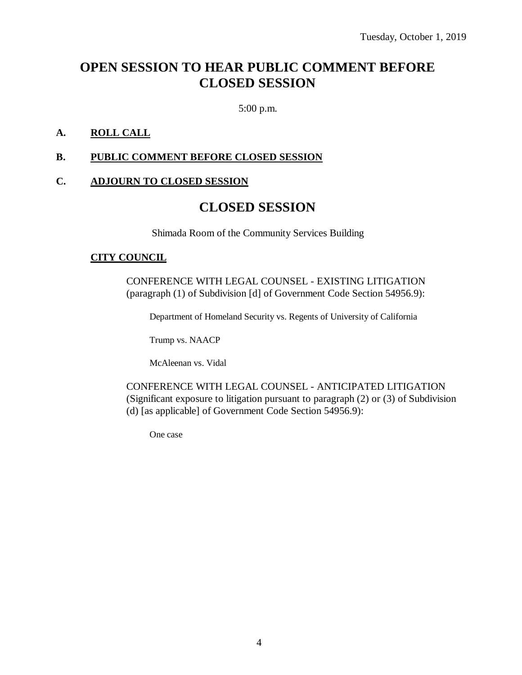# **OPEN SESSION TO HEAR PUBLIC COMMENT BEFORE CLOSED SESSION**

5:00 p.m.

### **A. ROLL CALL**

### **B. PUBLIC COMMENT BEFORE CLOSED SESSION**

### **C. ADJOURN TO CLOSED SESSION**

### **CLOSED SESSION**

Shimada Room of the Community Services Building

#### **CITY COUNCIL**

CONFERENCE WITH LEGAL COUNSEL - EXISTING LITIGATION (paragraph (1) of Subdivision [d] of Government Code Section 54956.9):

Department of Homeland Security vs. Regents of University of California

Trump vs. NAACP

McAleenan vs. Vidal

CONFERENCE WITH LEGAL COUNSEL - ANTICIPATED LITIGATION (Significant exposure to litigation pursuant to paragraph (2) or (3) of Subdivision (d) [as applicable] of Government Code Section 54956.9):

One case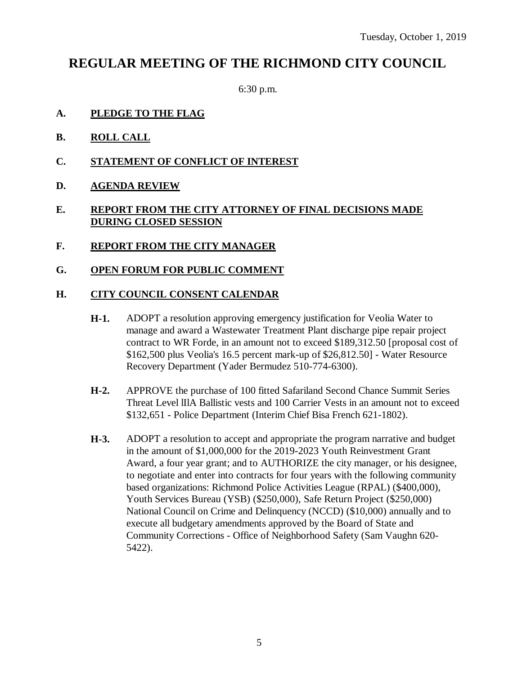# **REGULAR MEETING OF THE RICHMOND CITY COUNCIL**

6:30 p.m.

- **A. PLEDGE TO THE FLAG**
- **B. ROLL CALL**
- **C. STATEMENT OF CONFLICT OF INTEREST**
- **D. AGENDA REVIEW**

### **E. REPORT FROM THE CITY ATTORNEY OF FINAL DECISIONS MADE DURING CLOSED SESSION**

- **F. REPORT FROM THE CITY MANAGER**
- **G. OPEN FORUM FOR PUBLIC COMMENT**

### **H. CITY COUNCIL CONSENT CALENDAR**

- **H-1.** ADOPT a resolution approving emergency justification for Veolia Water to manage and award a Wastewater Treatment Plant discharge pipe repair project contract to WR Forde, in an amount not to exceed \$189,312.50 [proposal cost of \$162,500 plus Veolia's 16.5 percent mark-up of \$26,812.50] - Water Resource Recovery Department (Yader Bermudez 510-774-6300).
- **H-2.** APPROVE the purchase of 100 fitted Safariland Second Chance Summit Series Threat Level lIlA Ballistic vests and 100 Carrier Vests in an amount not to exceed \$132,651 - Police Department (Interim Chief Bisa French 621-1802).
- **H-3.** ADOPT a resolution to accept and appropriate the program narrative and budget in the amount of \$1,000,000 for the 2019-2023 Youth Reinvestment Grant Award, a four year grant; and to AUTHORIZE the city manager, or his designee, to negotiate and enter into contracts for four years with the following community based organizations: Richmond Police Activities League (RPAL) (\$400,000), Youth Services Bureau (YSB) (\$250,000), Safe Return Project (\$250,000) National Council on Crime and Delinquency (NCCD) (\$10,000) annually and to execute all budgetary amendments approved by the Board of State and Community Corrections - Office of Neighborhood Safety (Sam Vaughn 620- 5422).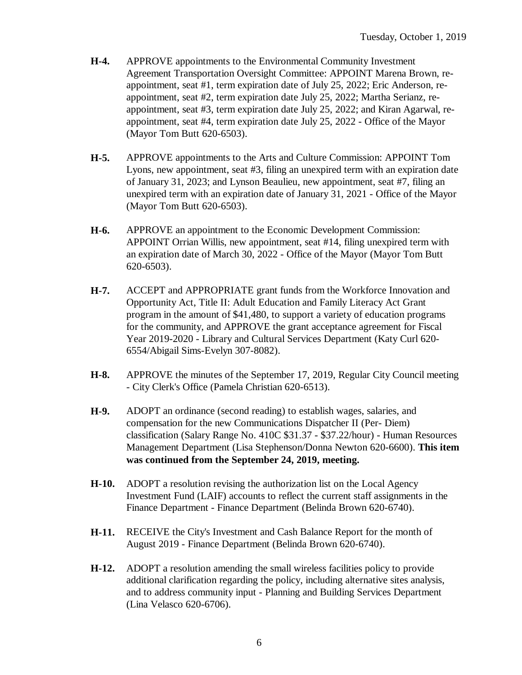- **H-4.** APPROVE appointments to the Environmental Community Investment Agreement Transportation Oversight Committee: APPOINT Marena Brown, reappointment, seat #1, term expiration date of July 25, 2022; Eric Anderson, reappointment, seat #2, term expiration date July 25, 2022; Martha Serianz, reappointment, seat #3, term expiration date July 25, 2022; and Kiran Agarwal, reappointment, seat #4, term expiration date July 25, 2022 - Office of the Mayor (Mayor Tom Butt 620-6503).
- **H-5.** APPROVE appointments to the Arts and Culture Commission: APPOINT Tom Lyons, new appointment, seat #3, filing an unexpired term with an expiration date of January 31, 2023; and Lynson Beaulieu, new appointment, seat #7, filing an unexpired term with an expiration date of January 31, 2021 - Office of the Mayor (Mayor Tom Butt 620-6503).
- **H-6.** APPROVE an appointment to the Economic Development Commission: APPOINT Orrian Willis, new appointment, seat #14, filing unexpired term with an expiration date of March 30, 2022 - Office of the Mayor (Mayor Tom Butt 620-6503).
- **H-7.** ACCEPT and APPROPRIATE grant funds from the Workforce Innovation and Opportunity Act, Title II: Adult Education and Family Literacy Act Grant program in the amount of \$41,480, to support a variety of education programs for the community, and APPROVE the grant acceptance agreement for Fiscal Year 2019-2020 - Library and Cultural Services Department (Katy Curl 620- 6554/Abigail Sims-Evelyn 307-8082).
- **H-8.** APPROVE the minutes of the September 17, 2019, Regular City Council meeting - City Clerk's Office (Pamela Christian 620-6513).
- **H-9.** ADOPT an ordinance (second reading) to establish wages, salaries, and compensation for the new Communications Dispatcher II (Per- Diem) classification (Salary Range No. 410C \$31.37 - \$37.22/hour) - Human Resources Management Department (Lisa Stephenson/Donna Newton 620-6600). **This item was continued from the September 24, 2019, meeting.**
- **H-10.** ADOPT a resolution revising the authorization list on the Local Agency Investment Fund (LAIF) accounts to reflect the current staff assignments in the Finance Department - Finance Department (Belinda Brown 620-6740).
- **H-11.** RECEIVE the City's Investment and Cash Balance Report for the month of August 2019 - Finance Department (Belinda Brown 620-6740).
- **H-12.** ADOPT a resolution amending the small wireless facilities policy to provide additional clarification regarding the policy, including alternative sites analysis, and to address community input - Planning and Building Services Department (Lina Velasco 620-6706).